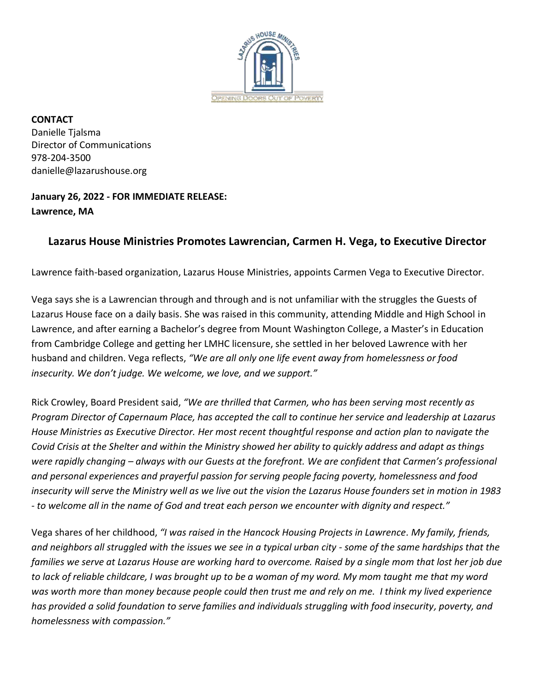

**CONTACT** Danielle Tjalsma Director of Communications 978-204-3500 danielle@lazarushouse.org

## **January 26, 2022 - FOR IMMEDIATE RELEASE: Lawrence, MA**

## **Lazarus House Ministries Promotes Lawrencian, Carmen H. Vega, to Executive Director**

Lawrence faith-based organization, Lazarus House Ministries, appoints Carmen Vega to Executive Director.

Vega says she is a Lawrencian through and through and is not unfamiliar with the struggles the Guests of Lazarus House face on a daily basis. She was raised in this community, attending Middle and High School in Lawrence, and after earning a Bachelor's degree from Mount Washington College, a Master's in Education from Cambridge College and getting her LMHC licensure, she settled in her beloved Lawrence with her husband and children. Vega reflects, *"We are all only one life event away from homelessness or food insecurity. We don't judge. We welcome, we love, and we support."*

Rick Crowley, Board President said, *"We are thrilled that Carmen, who has been serving most recently as Program Director of Capernaum Place, has accepted the call to continue her service and leadership at Lazarus House Ministries as Executive Director. Her most recent thoughtful response and action plan to navigate the Covid Crisis at the Shelter and within the Ministry showed her ability to quickly address and adapt as things were rapidly changing – always with our Guests at the forefront. We are confident that Carmen's professional and personal experiences and prayerful passion for serving people facing poverty, homelessness and food insecurity will serve the Ministry well as we live out the vision the Lazarus House founders set in motion in 1983 - to welcome all in the name of God and treat each person we encounter with dignity and respect."*

Vega shares of her childhood, *"I was raised in the Hancock Housing Projects in Lawrence. My family, friends, and neighbors all struggled with the issues we see in a typical urban city - some of the same hardships that the families we serve at Lazarus House are working hard to overcome. Raised by a single mom that lost her job due to lack of reliable childcare, I was brought up to be a woman of my word. My mom taught me that my word was worth more than money because people could then trust me and rely on me. I think my lived experience has provided a solid foundation to serve families and individuals struggling with food insecurity, poverty, and homelessness with compassion."*